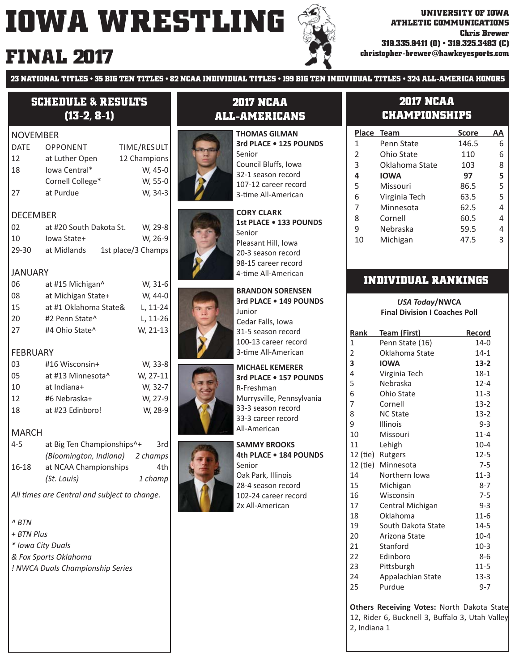### **christopher-brewer@hawkeyesports.com FINAL 2017**



**ATHLETIC COMMUNICATIONS Chris Brewer 319.335.9411 (O) • 319.325.3483 (C)**

**23 NATIONAL TITLES • 35 BIG TEN TITLES • 82 NCAA INDIVIDUAL TITLES • 199 BIG TEN INDIVIDUAL TITLES • 324 ALL-AMERICA HONORS**

### **SCHEDULE & RESULTS (13-2, 8-1)**

#### NOVEMBER

- DATE OPPONENT TIME/RESULT 12 at Luther Open 12 Champions 18 Iowa Central\* W, 45-0
- Cornell College\* W, 55-0 27 at Purdue W, 34-3

#### **DECEMBER**

| 02    | at #20 South Dakota St. | W, 29-8            |
|-------|-------------------------|--------------------|
| 10    | lowa State+             | W, 26-9            |
| 29-30 | at Midlands             | 1st place/3 Champs |

#### JANUARY

| 06 | at #15 Michigan^      | W, 31-6    |
|----|-----------------------|------------|
| 08 | at Michigan State+    | W. 44-0    |
| 15 | at #1 Oklahoma State& | L. 11-24   |
| 20 | #2 Penn State^        | $L, 11-26$ |
| 27 | #4 Ohio State^        | W, 21-13   |
|    |                       |            |

#### FEBRUARY

| 03 | #16 Wisconsin+    | W, 33-8  |
|----|-------------------|----------|
| 05 | at #13 Minnesota^ | W, 27-11 |
| 10 | at Indiana+       | W, 32-7  |
| 12 | #6 Nebraska+      | W, 27-9  |
| 18 | at #23 Edinboro!  | W. 28-9  |
|    |                   |          |

#### MARCH

| 4-5   | at Big Ten Championships <sup>^+</sup> |           |  |
|-------|----------------------------------------|-----------|--|
|       | (Bloomington, Indiana)                 | 2 champs  |  |
| 16-18 | at NCAA Championships                  | 4th l     |  |
|       | (St. Louis)                            | $1$ champ |  |

All *times are Central and subject to change.* 

*^ BTN*

- *+ BTN Plus*
- *\* Iowa City Duals*
- *& Fox Sports Oklahoma*
- *! NWCA Duals Championship Series*

#### **2017 NCAA ALL-AMERICANS**

#### **THOMAS GILMAN 3rd PLACE • 125 POUNDS** Senior Council Bluffs, Iowa 32-1 season record 107-12 career record 3-time All-American





### **3rd PLACE • 149 POUNDS** Junior Cedar Falls, Iowa

### R-Freshman Murrysville, Pennsylvania 33-3 season record 33-3 career record All-American



#### **SAMMY BROOKS 4th PLACE • 184 POUNDS** Senior Oak Park, Illinois

28-4 season record 102-24 career record 2x All-American

### **2017 NCAA CHAMPIONSHIPS**

| Place Team |                | <b>Score</b> | АΑ |
|------------|----------------|--------------|----|
| 1          | Penn State     | 146.5        | 6  |
| 2          | Ohio State     | 110          | 6  |
| 3          | Oklahoma State | 103          | 8  |
| 4          | <b>IOWA</b>    | 97           | 5  |
| 5          | Missouri       | 86.5         | 5  |
| 6          | Virginia Tech  | 63.5         | 5  |
| 7          | Minnesota      | 62.5         | 4  |
| 8          | Cornell        | 60.5         | 4  |
| ٩          | Nebraska       | 59.5         | 4  |
| 10         | Michigan       | 47.5         | 3  |

#### **INDIVIDUAL RANKINGS**

#### *USA Today***/NWCA Final Division I Coaches Poll**

| Rank           | <u>Team (First)</u> | Record   |
|----------------|---------------------|----------|
| 1              | Penn State (16)     | $14-0$   |
| $\overline{2}$ | Oklahoma State      | $14-1$   |
| 3              | <b>IOWA</b>         | $13-2$   |
| 4              | Virginia Tech       | $18-1$   |
| 5              | Nebraska            | $12 - 4$ |
| 6              | <b>Ohio State</b>   | $11-3$   |
| 7              | Cornell             | $13 - 2$ |
| 8              | <b>NC State</b>     | $13 - 2$ |
| 9              | Illinois            | $9 - 3$  |
| 10             | Missouri            | $11 - 4$ |
| 11             | Lehigh              | $10 - 4$ |
| 12 (tie)       | Rutgers             | $12 - 5$ |
| 12 (tie)       | Minnesota           | $7-5$    |
| 14             | Northern Iowa       | $11-3$   |
| 15             | Michigan            | $8 - 7$  |
| 16             | Wisconsin           | $7-5$    |
| 17             | Central Michigan    | $9 - 3$  |
| 18             | Oklahoma            | $11-6$   |
| 19             | South Dakota State  | $14 - 5$ |
| 20             | Arizona State       | $10 - 4$ |
| 21             | Stanford            | $10-3$   |
| 22             | Edinboro            | $8 - 6$  |
| 23             | Pittsburgh          | $11-5$   |
| 24             | Appalachian State   | $13-3$   |
| 25             | Purdue              | $9 - 7$  |

**Others Receiving Votes:** North Dakota State 12, Rider 6, Bucknell 3, Buffalo 3, Utah Valley 2, Indiana 1

**BRANDON SORENSEN**

#### 31-5 season record 100-13 career record 3-time All-American **MICHAEL KEMERER 3rd PLACE • 157 POUNDS**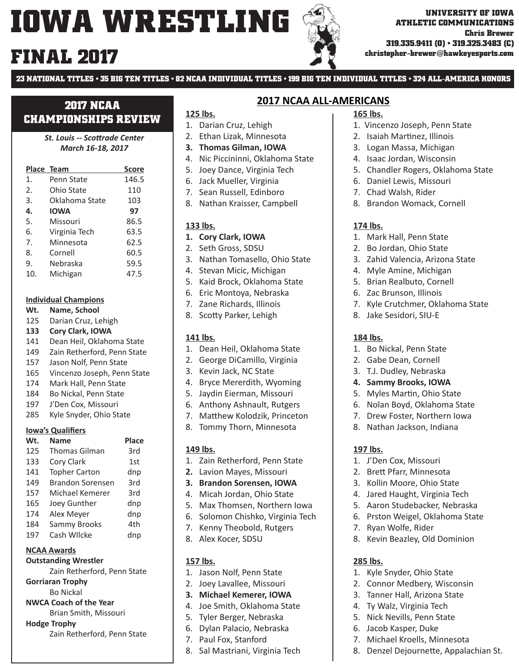### **FINAL 2017**



**23 NATIONAL TITLES • 35 BIG TEN TITLES • 82 NCAA INDIVIDUAL TITLES • 199 BIG TEN INDIVIDUAL TITLES • 324 ALL-AMERICA HONORS**

#### **2017 NCAA CHAMPIONSHIPS REVIEW**

*St. Louis -- ScoƩ rade Center March 16-18, 2017*

|     | Place Team     | <b>Score</b> |
|-----|----------------|--------------|
| 1.  | Penn State     | 146.5        |
| 2.  | Ohio State     | 110          |
| 3.  | Oklahoma State | 103          |
| 4.  | <b>IOWA</b>    | 97           |
| 5.  | Missouri       | 86.5         |
| 6.  | Virginia Tech  | 63.5         |
| 7.  | Minnesota      | 62.5         |
| 8.  | Cornell        | 60.5         |
| 9.  | Nebraska       | 59.5         |
| 10. | Michigan       | 47.5         |

#### **Individual Champions**

- **Wt. Name, School**
- 125 Darian Cruz, Lehigh
- **133 Cory Clark, IOWA**
- 141 Dean Heil, Oklahoma State
- 149 Zain Retherford, Penn State
- 157 Jason Nolf, Penn State
- 165 Vincenzo Joseph, Penn State
- 174 Mark Hall, Penn State
- 184 Bo Nickal, Penn State 197 J'Den Cox, Missouri
- 285 Kyle Snyder, Ohio State
- **Iowa's Qualifiers**

| Wt. | Name                    | Place |
|-----|-------------------------|-------|
| 125 | <b>Thomas Gilman</b>    | 3rd   |
| 133 | Cory Clark              | 1st   |
| 141 | <b>Topher Carton</b>    | dnp   |
| 149 | <b>Brandon Sorensen</b> | 3rd   |
| 157 | Michael Kemerer         | 3rd   |
| 165 | Joey Gunther            | dnp   |
| 174 | Alex Meyer              | dnp   |
| 184 | Sammy Brooks            | 4th   |
| 197 | Cash WIlcke             | dnp   |

#### **NCAA Awards**

**Outstanding Wrestler**

Zain Retherford, Penn State **Gorriaran Trophy**

Bo Nickal

**NWCA Coach of the Year**

Brian Smith, Missouri

#### **Hodge Trophy**

Zain Retherford, Penn State

#### **2017 NCAA ALL-AMERICANS**

#### **125 lbs.**

- 1. Darian Cruz, Lehigh
- 2. Ethan Lizak, Minnesota
- **3. Thomas Gilman, IOWA**
- 4. Nic Piccininni, Oklahoma State
- 5. Joey Dance, Virginia Tech
- 6. Jack Mueller, Virginia
- 7. Sean Russell, Edinboro
- 8. Nathan Kraisser, Campbell

#### **133 lbs.**

- **1. Cory Clark, IOWA**
- 2. Seth Gross, SDSU
- 3. Nathan Tomasello, Ohio State
- 4. Stevan Micic, Michigan
- 5. Kaid Brock, Oklahoma State
- 6. Eric Montoya, Nebraska
- 7. Zane Richards, Illinois
- 8. Scotty Parker, Lehigh

#### **141 lbs.**

- 1. Dean Heil, Oklahoma State
- 2. George DiCamillo, Virginia
- 3. Kevin Jack, NC State
- 4. Bryce Mererdith, Wyoming
- 5. Jaydin Eierman, Missouri
- 6. Anthony Ashnault, Rutgers
- 7. Matthew Kolodzik, Princeton
- 8. Tommy Thorn, Minnesota

#### **149 lbs.**

- 1. Zain Retherford, Penn State
- **2.** Lavion Mayes, Missouri
- **3. Brandon Sorensen, IOWA**
- 4. Micah Jordan, Ohio State
- 5. Max Thomsen, Northern Iowa
- 6. Solomon Chishko, Virginia Tech
- 7. Kenny Theobold, Rutgers
- 8. Alex Kocer, SDSU

#### **157 lbs.**

- 1. Jason Nolf, Penn State
- 2. Joey Lavallee, Missouri
- **3. Michael Kemerer, IOWA**
- 4. Joe Smith, Oklahoma State
- 5. Tyler Berger, Nebraska
- 6. Dylan Palacio, Nebraska
- 7. Paul Fox, Stanford
- 8. Sal Mastriani, Virginia Tech

#### **165 lbs.**

- 1. Vincenzo Joseph, Penn State
- 2. Isaiah Martinez, Illinois
- 3. Logan Massa, Michigan
- 4. Isaac Jordan, Wisconsin
- 5. Chandler Rogers, Oklahoma State
- 6. Daniel Lewis, Missouri
- 7. Chad Walsh, Rider
- 8. Brandon Womack, Cornell

#### **174 lbs.**

- 1. Mark Hall, Penn State
- 2. Bo Jordan, Ohio State
- 3. Zahid Valencia, Arizona State
- 4. Myle Amine, Michigan
- 5. Brian Realbuto, Cornell
- 6. Zac Brunson, Illinois
- 7. Kyle Crutchmer, Oklahoma State
- 8. Jake Sesidori, SIU-E

#### **184 lbs.**

**197 lbs.**

**285 lbs.**

- 1. Bo Nickal, Penn State
- 2. Gabe Dean, Cornell
- 3. T.J. Dudley, Nebraska
- **4. Sammy Brooks, IOWA**

1. J'Den Cox, Missouri 2. Brett Pfarr, Minnesota 3. Kollin Moore, Ohio State 4. Jared Haught, Virginia Tech 5. Aaron Studebacker, Nebraska 6. Prston Weigel, Oklahoma State

7. Ryan Wolfe, Rider

8. Kevin Beazley, Old Dominion

1. Kyle Snyder, Ohio State 2. Connor Medbery, Wisconsin 3. Tanner Hall, Arizona State 4. Ty Walz, Virginia Tech 5. Nick Nevills, Penn State 6. Jacob Kasper, Duke

7. Michael Kroells, Minnesota

8. Denzel Dejournette, Appalachian St.

5. Myles Martin, Ohio State 6. Nolan Boyd, Oklahoma State

7. Drew Foster, Northern Iowa 8. Nathan Jackson, Indiana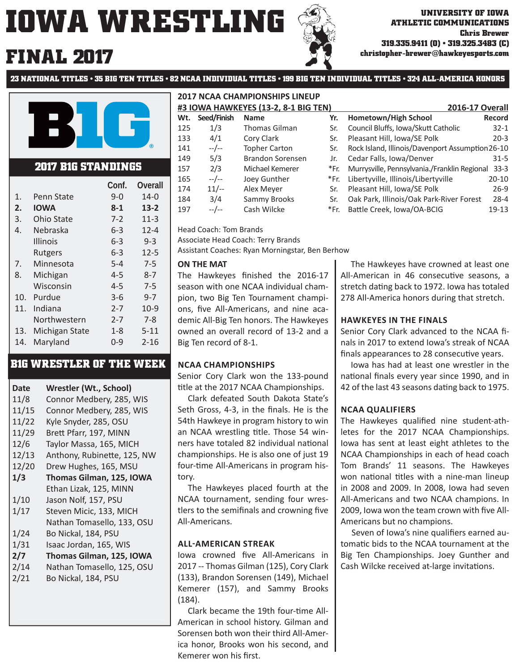### **christopher-brewer@hawkeyesports.com FINAL 2017**

**23 NATIONAL TITLES • 35 BIG TEN TITLES • 82 NCAA INDIVIDUAL TITLES • 199 BIG TEN INDIVIDUAL TITLES • 324 ALL-AMERICA HONORS**



#### **2017 B1G STANDINGS**

|                |                 | Conf.   | Overall  |
|----------------|-----------------|---------|----------|
| $\mathbf{1}$ . | Penn State      | $9-0$   | 14-0     |
| 2.             | IOWA            | $8 - 1$ | 13-2     |
| 3.             | Ohio State      | $7 - 2$ | $11 - 3$ |
| 4.             | Nebraska        | 6-3     | $12 - 4$ |
|                | <b>Illinois</b> | $6 - 3$ | $9 - 3$  |
|                | Rutgers         | 6-3     | $12 - 5$ |
| 7.             | Minnesota       | $5 - 4$ | $7 - 5$  |
| 8.             | Michigan        | $4 - 5$ | $8 - 7$  |
|                | Wisconsin       | 4-5     | $7 - 5$  |
| 10.            | Purdue          | $3-6$   | $9 - 7$  |
| 11.            | Indiana         | $2 - 7$ | $10-9$   |
|                | Northwestern    | $2 - 7$ | $7 - 8$  |
| 13.            | Michigan State  | $1 - 8$ | $5 - 11$ |
| 14.            | Maryland        | $0 - 9$ | 2-16     |

#### **B1G WRESTLER OF THE WEEK**

| Date  | Wrestler (Wt., School)      |
|-------|-----------------------------|
| 11/8  | Connor Medbery, 285, WIS    |
| 11/15 | Connor Medbery, 285, WIS    |
| 11/22 | Kyle Snyder, 285, OSU       |
| 11/29 | Brett Pfarr, 197, MINN      |
| 12/6  | Taylor Massa, 165, MICH     |
| 12/13 | Anthony, Rubinette, 125, NW |
| 12/20 | Drew Hughes, 165, MSU       |
| 1/3   | Thomas Gilman, 125, IOWA    |
|       | Ethan Lizak, 125, MINN      |
| 1/10  | Jason Nolf, 157, PSU        |
| 1/17  | Steven Micic, 133, MICH     |
|       |                             |
|       | Nathan Tomasello, 133, OSU  |
| 1/24  | Bo Nickal, 184, PSU         |
| 1/31  | Isaac Jordan, 165, WIS      |
| 2/7   | Thomas Gilman, 125, IOWA    |
| 2/14  | Nathan Tomasello, 125, OSU  |

#### 2/21 Bo Nickal, 184, PSU

|     |                                           | <b>2017 NCAA CHAMPIONSHIPS LINEUP</b> |  |  |  |
|-----|-------------------------------------------|---------------------------------------|--|--|--|
|     | <b>#3 IOWA HAWKEYES (13-2, 8-1 BIG TE</b> |                                       |  |  |  |
| Wt. | Seed/Finish Name                          |                                       |  |  |  |
| 125 | 1/3                                       | <b>Thomas Gilman</b>                  |  |  |  |
| 133 | 4/1                                       | Cory Clark                            |  |  |  |
| 141 | $-$ / $-$                                 | <b>Topher Carton</b>                  |  |  |  |
| 149 | 5/3                                       | Brandon Sorensen                      |  |  |  |
| 157 | 2/3                                       | Michael Kemerer                       |  |  |  |
| 165 | $-/-$                                     | Joey Gunther                          |  |  |  |
| 174 | $11/-$                                    | Alex Meyer                            |  |  |  |
| 184 | 3/4                                       | Sammy Brooks                          |  |  |  |
| 197 | $-$ /--                                   | Cash Wilcke                           |  |  |  |
|     |                                           |                                       |  |  |  |

Head Coach: Tom Brands Associate Head Coach: Terry Brands

Assistant Coaches: Ryan Morningstar, Ben Berhow

#### **ON THE MAT**

The Hawkeyes finished the 2016-17 season with one NCAA individual champion, two Big Ten Tournament champions, five All-Americans, and nine academic All-Big Ten honors. The Hawkeyes owned an overall record of 13-2 and a Big Ten record of 8-1.

#### **NCAA CHAMPIONSHIPS**

Senior Cory Clark won the 133-pound title at the 2017 NCAA Championships.

 Clark defeated South Dakota State's Seth Gross, 4-3, in the finals. He is the 54th Hawkeye in program history to win an NCAA wrestling title. Those 54 winners have totaled 82 individual national championships. He is also one of just 19 four-time All-Americans in program history.

 The Hawkeyes placed fourth at the NCAA tournament, sending four wrestlers to the semifinals and crowning five All-Americans.

#### **ALL-AMERICAN STREAK**

Iowa crowned five All-Americans in 2017 -- Thomas Gilman (125), Cory Clark (133), Brandon Sorensen (149), Michael Kemerer (157), and Sammy Brooks (184).

Clark became the 19th four-time All-American in school history. Gilman and Sorensen both won their third All-America honor, Brooks won his second, and Kemerer won his first.

### **ATHLETIC COMMUNICATIONS Chris Brewer 319.335.9411 (O) • 319.325.3483 (C)**

| #3 IOW <u>A HAWKEYES (13-2, 8-1 BIG TEN)</u> |             |                         |      | 2016-17 Overall                                  |           |
|----------------------------------------------|-------------|-------------------------|------|--------------------------------------------------|-----------|
| Wt.                                          | Seed/Finish | <b>Name</b>             | Yr.  | Hometown/High School                             | Record    |
| 125                                          | 1/3         | <b>Thomas Gilman</b>    | Sr.  | Council Bluffs, Iowa/Skutt Catholic              | $32 - 1$  |
| 133                                          | 4/1         | Cory Clark              | Sr.  | Pleasant Hill, Iowa/SE Polk                      | $20-3$    |
| 141                                          | $-$ /--     | <b>Topher Carton</b>    | Sr.  | Rock Island, Illinois/Davenport Assumption 26-10 |           |
| 149                                          | 5/3         | <b>Brandon Sorensen</b> | Jr.  | Cedar Falls, Iowa/Denver                         | $31 - 5$  |
| 157                                          | 2/3         | Michael Kemerer         | *Fr. | Murrysville, Pennsylvania./Franklin Regional     | $33-3$    |
| 165                                          | $-$ /--     | Joey Gunther            | *Fr. | Libertyville, Illinois/Libertyville              | $20 - 10$ |
| 174                                          | $11/-$      | Alex Meyer              | Sr.  | Pleasant Hill, Iowa/SE Polk                      | $26-9$    |
| 184                                          | 3/4         | Sammy Brooks            | Sr.  | Oak Park, Illinois/Oak Park-River Forest         | $28 - 4$  |
| 197                                          | $-$ /--     | Cash Wilcke             | *Fr. | Battle Creek, Iowa/OA-BCIG                       | 19-13     |

 The Hawkeyes have crowned at least one All-American in 46 consecutive seasons, a stretch dating back to 1972. Iowa has totaled 278 All-America honors during that stretch.

#### **HAWKEYES IN THE FINALS**

Senior Cory Clark advanced to the NCAA finals in 2017 to extend Iowa's streak of NCAA finals appearances to 28 consecutive years.

 Iowa has had at least one wrestler in the national finals every year since 1990, and in 42 of the last 43 seasons dating back to 1975.

#### **NCAA QUALIFIERS**

The Hawkeyes qualified nine student-athletes for the 2017 NCAA Championships. Iowa has sent at least eight athletes to the NCAA Championships in each of head coach Tom Brands' 11 seasons. The Hawkeyes won national titles with a nine-man lineup in 2008 and 2009. In 2008, Iowa had seven All-Americans and two NCAA champions. In 2009, Iowa won the team crown with five All-Americans but no champions.

Seven of Iowa's nine qualifiers earned automatic bids to the NCAA tournament at the Big Ten Championships. Joey Gunther and Cash Wilcke received at-large invitations.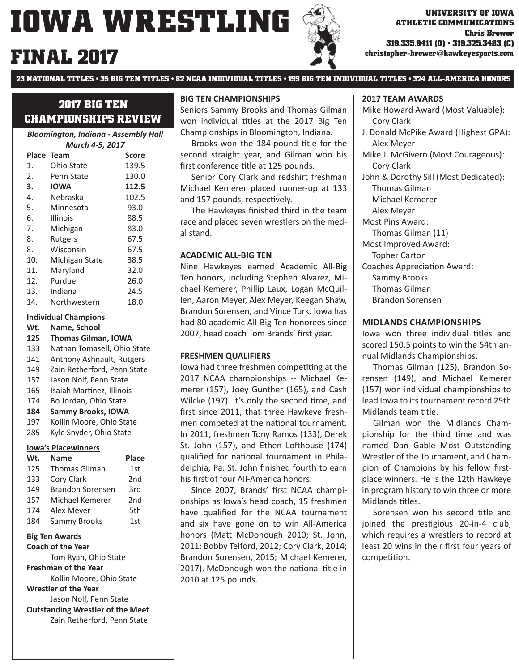### **IOWA WRESTLING FINAL 2017**

**23 NATIONAL TITLES • 35 BIG TEN TITLES • 82 NCAA INDIVIDUAL TITLES • 199 BIG TEN INDIVIDUAL TITLES • 324 ALL-AMERICA HONORS**

#### **2017 BIG TEN CHAMPIONSHIPS REVIEW**

*Bloomington, Indiana - Assembly Hall March 4-5, 2017*

|     | Place Team      | <b>Score</b> |
|-----|-----------------|--------------|
| 1.  | Ohio State      | 139.5        |
| 2.  | Penn State      | 130.0        |
| З.  | <b>IOWA</b>     | 112.5        |
| 4.  | Nebraska        | 102.5        |
| 5.  | Minnesota       | 93.0         |
| 6.  | <b>Illinois</b> | 88.5         |
| 7.  | Michigan        | 83.0         |
| 8.  | Rutgers         | 67.5         |
| 8.  | Wisconsin       | 67.5         |
| 10. | Michigan State  | 38.5         |
| 11. | Maryland        | 32.0         |
| 12. | Purdue          | 26.0         |
| 13. | Indiana         | 24.5         |
| 14. | Northwestern    | 18.0         |

#### **Individual Champions**

- **Wt. Name, School**
- **125 Thomas Gilman, IOWA**
- 133 Nathan Tomasell, Ohio State
- 141 Anthony Ashnault, Rutgers
- 149 Zain Retherford, Penn State
- 157 Jason Nolf, Penn State
- 165 Isaiah Martinez, Illinois
- 174 Bo Jordan, Ohio State
- **184 Sammy Brooks, IOWA**
- 197 Kollin Moore, Ohio State
- 285 Kyle Snyder, Ohio State

#### **Iowa's Placewinners**

| Wt. | <b>Name</b>             | <b>Place</b>    |
|-----|-------------------------|-----------------|
| 125 | <b>Thomas Gilman</b>    | 1st             |
| 133 | Cory Clark              | 2 <sub>nd</sub> |
| 149 | <b>Brandon Sorensen</b> | 3rd             |
| 157 | Michael Kemerer         | 2 <sub>nd</sub> |
| 174 | Alex Meyer              | 5th             |
| 184 | Sammy Brooks            | 1st             |

#### **Big Ten Awards**

**Coach of the Year** Tom Ryan, Ohio State **Freshman of the Year** Kollin Moore, Ohio State **Wrestler of the Year** Jason Nolf, Penn State **Outstanding Wrestler of the Meet** Zain Retherford, Penn State

#### **BIG TEN CHAMPIONSHIPS**

Seniors Sammy Brooks and Thomas Gilman won individual titles at the 2017 Big Ten Championships in Bloomington, Indiana.

Brooks won the 184-pound title for the second straight year, and Gilman won his first conference title at 125 pounds.

 Senior Cory Clark and redshirt freshman Michael Kemerer placed runner-up at 133 and 157 pounds, respectively.

The Hawkeyes finished third in the team race and placed seven wrestlers on the medal stand.

#### **ACADEMIC ALL-BIG TEN**

Nine Hawkeyes earned Academic All-Big Ten honors, including Stephen Alvarez, Michael Kemerer, Phillip Laux, Logan McQuillen, Aaron Meyer, Alex Meyer, Keegan Shaw, Brandon Sorensen, and Vince Turk. Iowa has had 80 academic All-Big Ten honorees since 2007, head coach Tom Brands' first year.

#### **FRESHMEN QUALIFIERS**

Iowa had three freshmen competiting at the 2017 NCAA championships -- Michael Kemerer (157), Joey Gunther (165), and Cash Wilcke (197). It's only the second time, and first since 2011, that three Hawkeye freshmen competed at the national tournament. In 2011, freshmen Tony Ramos (133), Derek St. John (157), and Ethen Lofthouse (174) qualified for national tournament in Philadelphia, Pa. St. John finished fourth to earn his first of four All-America honors.

Since 2007, Brands' first NCAA championships as Iowa's head coach, 15 freshmen have qualified for the NCAA tournament and six have gone on to win All-America honors (Matt McDonough 2010; St. John, 2011; Bobby Telford, 2012; Cory Clark, 2014; Brandon Sorensen, 2015; Michael Kemerer, 2017). McDonough won the national title in 2010 at 125 pounds.

#### **2017 TEAM AWARDS**

Mike Howard Award (Most Valuable): Cory Clark J. Donald McPike Award (Highest GPA): Alex Meyer Mike J. McGivern (Most Courageous): Cory Clark John & Dorothy Sill (Most Dedicated): Thomas Gilman Michael Kemerer Alex Meyer Most Pins Award: Thomas Gilman (11) Most Improved Award: Topher Carton Coaches Appreciation Award: Sammy Brooks Thomas Gilman Brandon Sorensen

#### **MIDLANDS CHAMPIONSHIPS**

Iowa won three individual titles and scored 150.5 points to win the 54th annual Midlands Championships.

 Thomas Gilman (125), Brandon Sorensen (149), and Michael Kemerer (157) won individual championships to lead Iowa to its tournament record 25th Midlands team title.

 Gilman won the Midlands Championship for the third time and was named Dan Gable Most Outstanding Wrestler of the Tournament, and Champion of Champions by his fellow firstplace winners. He is the 12th Hawkeye in program history to win three or more Midlands titles.

Sorensen won his second title and joined the prestigious 20-in-4 club, which requires a wrestlers to record at least 20 wins in their first four years of competition.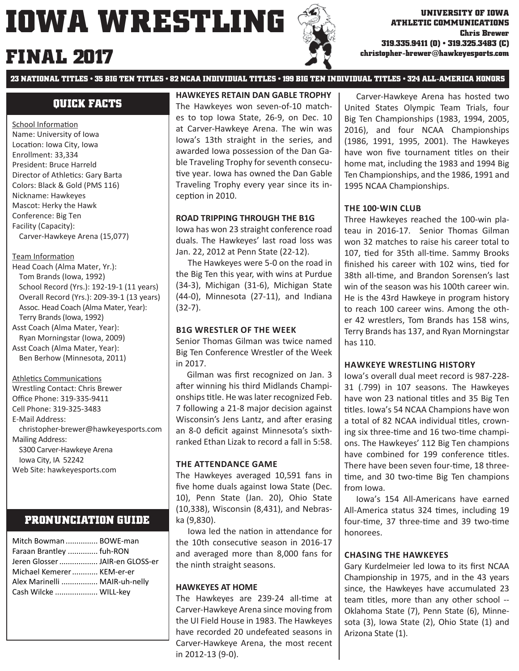## **IOWA WRESTLING christopher-brewer@hawkeyesports.com FINAL 2017**

**23 NATIONAL TITLES • 35 BIG TEN TITLES • 82 NCAA INDIVIDUAL TITLES • 199 BIG TEN INDIVIDUAL TITLES • 324 ALL-AMERICA HONORS**

#### **QUICK FACTS**

School Information Name: University of Iowa Location: Iowa City, Iowa Enrollment: 33,334 President: Bruce Harreld Director of Athletics: Gary Barta Colors: Black & Gold (PMS 116) Nickname: Hawkeyes Mascot: Herky the Hawk Conference: Big Ten Facility (Capacity): Carver-Hawkeye Arena (15,077)

#### Team Information

Head Coach (Alma Mater, Yr.): Tom Brands (Iowa, 1992) School Record (Yrs.): 192-19-1 (11 years) Overall Record (Yrs.): 209-39-1 (13 years) Assoc. Head Coach (Alma Mater, Year): Terry Brands (Iowa, 1992) Asst Coach (Alma Mater, Year): Ryan Morningstar (Iowa, 2009) Asst Coach (Alma Mater, Year): Ben Berhow (Minnesota, 2011)

#### Athletics Communications

Wrestling Contact: Chris Brewer Office Phone: 319-335-9411 Cell Phone: 319-325-3483 E-Mail Address: christopher-brewer@hawkeyesports.com Mailing Address: S300 Carver-Hawkeye Arena Iowa City, IA 52242 Web Site: hawkeyesports.com

#### **PRONUNCIATION GUIDE**

| Mitch Bowman  BOWE-man          |
|---------------------------------|
| Faraan Brantley  fuh-RON        |
| Jeren Glosser  JAIR-en GLOSS-er |
| Michael Kemerer  KEM-er-er      |
| Alex Marinelli  MAIR-uh-nelly   |
| Cash Wilcke  WILL-key           |
|                                 |

**HAWKEYES RETAIN DAN GABLE TROPHY** The Hawkeyes won seven-of-10 matches to top Iowa State, 26-9, on Dec. 10 at Carver-Hawkeye Arena. The win was Iowa's 13th straight in the series, and awarded Iowa possession of the Dan Gable Traveling Trophy for seventh consecutive year. Iowa has owned the Dan Gable Traveling Trophy every year since its inception in 2010.

#### **ROAD TRIPPING THROUGH THE B1G**

Iowa has won 23 straight conference road duals. The Hawkeyes' last road loss was Jan. 22, 2012 at Penn State (22-12).

 The Hawkeyes were 5-0 on the road in the Big Ten this year, with wins at Purdue (34-3), Michigan (31-6), Michigan State (44-0), Minnesota (27-11), and Indiana (32-7).

#### **B1G WRESTLER OF THE WEEK**

Senior Thomas Gilman was twice named Big Ten Conference Wrestler of the Week in 2017.

Gilman was first recognized on Jan. 3 after winning his third Midlands Championships title. He was later recognized Feb. 7 following a 21-8 major decision against Wisconsin's Jens Lantz, and after erasing an 8-0 deficit against Minnesota's sixthranked Ethan Lizak to record a fall in 5:58.

#### **THE ATTENDANCE GAME**

The Hawkeyes averaged 10,591 fans in five home duals against Iowa State (Dec. 10), Penn State (Jan. 20), Ohio State (10,338), Wisconsin (8,431), and Nebraska (9,830).

Iowa led the nation in attendance for the 10th consecutive season in 2016-17 and averaged more than 8,000 fans for the ninth straight seasons.

#### **HAWKEYES AT HOME**

The Hawkeyes are 239-24 all-time at Carver-Hawkeye Arena since moving from the UI Field House in 1983. The Hawkeyes have recorded 20 undefeated seasons in Carver-Hawkeye Arena, the most recent in 2012-13 (9-0).

 Carver-Hawkeye Arena has hosted two United States Olympic Team Trials, four Big Ten Championships (1983, 1994, 2005, 2016), and four NCAA Championships (1986, 1991, 1995, 2001). The Hawkeyes have won five tournament titles on their home mat, including the 1983 and 1994 Big Ten Championships, and the 1986, 1991 and 1995 NCAA Championships.

#### **THE 100-WIN CLUB**

Three Hawkeyes reached the 100-win plateau in 2016-17. Senior Thomas Gilman won 32 matches to raise his career total to 107, tied for 35th all-time. Sammy Brooks finished his career with 102 wins, tied for 38th all-time, and Brandon Sorensen's last win of the season was his 100th career win. He is the 43rd Hawkeye in program history to reach 100 career wins. Among the other 42 wrestlers, Tom Brands has 158 wins, Terry Brands has 137, and Ryan Morningstar has 110.

#### **HAWKEYE WRESTLING HISTORY**

Iowa's overall dual meet record is 987-228- 31 (.799) in 107 seasons. The Hawkeyes have won 23 national titles and 35 Big Ten titles. Iowa's 54 NCAA Champions have won a total of 82 NCAA individual titles, crowning six three-time and 16 two-time champions. The Hawkeyes' 112 Big Ten champions have combined for 199 conference titles. There have been seven four-time, 18 threetime, and 30 two-time Big Ten champions from Iowa.

 Iowa's 154 All-Americans have earned All-America status 324 times, including 19 four-time, 37 three-time and 39 two-time honorees.

#### **CHASING THE HAWKEYES**

Gary Kurdelmeier led Iowa to its first NCAA Championship in 1975, and in the 43 years since, the Hawkeyes have accumulated 23 team titles, more than any other school --Oklahoma State (7), Penn State (6), Minnesota (3), Iowa State (2), Ohio State (1) and Arizona State (1).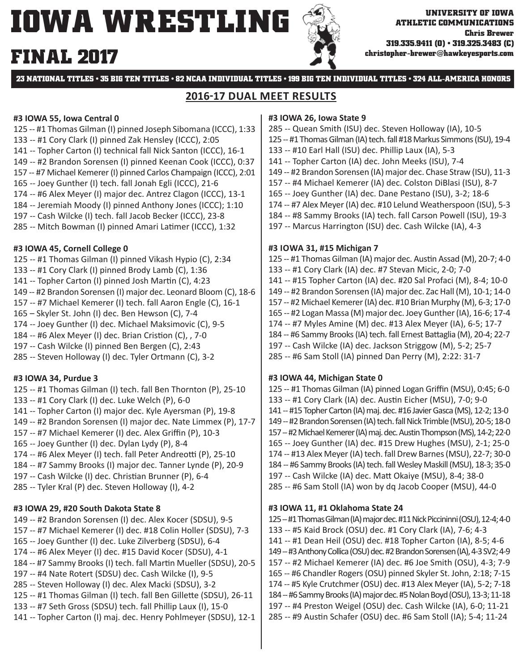### **FINAL 2017**



**23 NATIONAL TITLES • 35 BIG TEN TITLES • 82 NCAA INDIVIDUAL TITLES • 199 BIG TEN INDIVIDUAL TITLES • 324 ALL-AMERICA HONORS**

#### **2016ͳ17 DUAL MEET RESULTS**

#### **#3 IOWA 55, Iowa Central 0**

125 -- #1 Thomas Gilman (I) pinned Joseph Sibomana (ICCC), 1:33 133 -- #1 Cory Clark (I) pinned Zak Hensley (ICCC), 2:05 141 -- Topher Carton (I) technical fall Nick Santon (ICCC), 16-1 149 -- #2 Brandon Sorensen (I) pinned Keenan Cook (ICCC), 0:37 157 -- #7 Michael Kemerer (I) pinned Carlos Champaign (ICCC), 2:01 165 -- Joey Gunther (I) tech. fall Jonah Egli (ICCC), 21-6 174 -- #6 Alex Meyer (I) major dec. Antrez Clagon (ICCC), 13-1 184 -- Jeremiah Moody (I) pinned Anthony Jones (ICCC); 1:10 197 -- Cash Wilcke (I) tech. fall Jacob Becker (ICCC), 23-8 285 -- Mitch Bowman (I) pinned Amari Latimer (ICCC), 1:32 **#3 IOWA 45, Cornell College 0** 125 -- #1 Thomas Gilman (I) pinned Vikash Hypio (C), 2:34 133 -- #1 Cory Clark (I) pinned Brody Lamb (C), 1:36

- 141 -- Topher Carton (I) pinned Josh Martin (C), 4:23
- 149 -- #2 Brandon Sorensen (I) major dec. Leonard Bloom (C), 18-6
- 157 -- #7 Michael Kemerer (I) tech. fall Aaron Engle (C), 16-1
- 165 Skyler St. John (I) dec. Ben Hewson (C), 7-4
- 174 -- Joey Gunther (I) dec. Michael Maksimovic (C), 9-5
- 184 -- #6 Alex Meyer (I) dec. Brian Cristion (C), , 7-0
- 197 -- Cash Wilcke (I) pinned Ben Bergen (C), 2:43
- 285 -- Steven Holloway (I) dec. Tyler Ortmann (C), 3-2

#### **#3 IOWA 34, Purdue 3**

- 125 -- #1 Thomas Gilman (I) tech. fall Ben Thornton (P), 25-10 133 -- #1 Cory Clark (I) dec. Luke Welch (P), 6-0 141 -- Topher Carton (I) major dec. Kyle Ayersman (P), 19-8
- 149 -- #2 Brandon Sorensen (I) major dec. Nate Limmex (P), 17-7
- 157 -- #7 Michael Kemerer (I) dec. Alex Griffin (P), 10-3 165 -- Joey Gunther (I) dec. Dylan Lydy (P), 8-4
- 174 -- #6 Alex Meyer (I) tech. fall Peter Andreotti (P), 25-10
- 184 -- #7 Sammy Brooks (I) major dec. Tanner Lynde (P), 20-9
- 197 -- Cash Wilcke (I) dec. Christian Brunner (P), 6-4
- 285 -- Tyler Kral (P) dec. Steven Holloway (I), 4-2

#### **#3 IOWA 29, #20 South Dakota State 8**

149 -- #2 Brandon Sorensen (I) dec. Alex Kocer (SDSU), 9-5 157 -- #7 Michael Kemerer (I) dec. #18 Colin Holler (SDSU), 7-3 165 -- Joey Gunther (I) dec. Luke Zilverberg (SDSU), 6-4 174 -- #6 Alex Meyer (I) dec. #15 David Kocer (SDSU), 4-1 184 -- #7 Sammy Brooks (I) tech. fall Martin Mueller (SDSU), 20-5 197 -- #4 Nate Rotert (SDSU) dec. Cash Wilcke (I), 9-5 285 -- Steven Holloway (I) dec. Alex Macki (SDSU), 3-2 125 -- #1 Thomas Gilman (I) tech. fall Ben Gillette (SDSU), 26-11 133 -- #7 Seth Gross (SDSU) tech. fall Phillip Laux (I), 15-0 141 -- Topher Carton (I) maj. dec. Henry Pohlmeyer (SDSU), 12-1

#### **#3 IOWA 26, Iowa State 9**

- 285 -- Quean Smith (ISU) dec. Steven Holloway (IA), 10-5
- 125 -- #1 Thomas Gilman (IA) tech. fall #18 Markus Simmons (ISU), 19-4
- 133 -- #10 Earl Hall (ISU) dec. Phillip Laux (IA), 5-3
- 141 -- Topher Carton (IA) dec. John Meeks (ISU), 7-4
- 149 -- #2 Brandon Sorensen (IA) major dec. Chase Straw (ISU), 11-3
- 157 -- #4 Michael Kemerer (IA) dec. Colston DiBlasi (ISU), 8-7
- 165 -- Joey Gunther (IA) dec. Dane Pestano (ISU), 3-2; 18-6
- 174 -- #7 Alex Meyer (IA) dec. #10 Lelund Weatherspoon (ISU), 5-3
- 184 -- #8 Sammy Brooks (IA) tech. fall Carson Powell (ISU), 19-3
- 197 -- Marcus Harrington (ISU) dec. Cash Wilcke (IA), 4-3

#### **#3 IOWA 31, #15 Michigan 7**

125 -- #1 Thomas Gilman (IA) major dec. Austin Assad (M), 20-7; 4-0 133 -- #1 Cory Clark (IA) dec. #7 Stevan Micic, 2-0; 7-0 141 -- #15 Topher Carton (IA) dec. #20 Sal Profaci (M), 8-4; 10-0 149 -- #2 Brandon Sorensen (IA) major dec. Zac Hall (M), 10-1; 14-0 157 -- #2 Michael Kemerer (IA) dec. #10 Brian Murphy (M), 6-3; 17-0 165 -- #2 Logan Massa (M) major dec. Joey Gunther (IA), 16-6; 17-4 174 -- #7 Myles Amine (M) dec. #13 Alex Meyer (IA), 6-5; 17-7 184 -- #6 Sammy Brooks (IA) tech. fall Ernest Battaglia (M), 20-4; 22-7 197 -- Cash Wilcke (IA) dec. Jackson Striggow (M), 5-2; 25-7 285 -- #6 Sam Stoll (IA) pinned Dan Perry (M), 2:22: 31-7

### **#3 IOWA 44, Michigan State 0**

125 -- #1 Thomas Gilman (IA) pinned Logan Griffin (MSU), 0:45; 6-0 133 -- #1 Cory Clark (IA) dec. Austin Eicher (MSU), 7-0; 9-0 141 -- #15 Topher Carton (IA) maj. dec. #16 Javier Gasca (MS), 12-2; 13-0 149 -- #2 Brandon Sorensen (IA) tech. fall Nick Trimble (MSU), 20-5; 18-0 157 -- #2 Michael Kemerer (IA) maj. dec. Austin Thompson (MS), 14-2; 22-0 165 -- Joey Gunther (IA) dec. #15 Drew Hughes (MSU), 2-1; 25-0 174 -- #13 Alex Meyer (IA) tech. fall Drew Barnes (MSU), 22-7; 30-0 184 -- #6 Sammy Brooks (IA) tech. fall Wesley Maskill (MSU), 18-3; 35-0 197 -- Cash Wilcke (IA) dec. MaƩ Okaiye (MSU), 8-4; 38-0 285 -- #6 Sam Stoll (IA) won by dq Jacob Cooper (MSU), 44-0

### **#3 IOWA 11, #1 Oklahoma State 24**

125 -- #1 Thomas Gilman (IA) major dec. #11 Nick Piccininni (OSU), 12-4; 4-0 133 -- #5 Kaid Brock (OSU) dec. #1 Cory Clark (IA), 7-6; 4-3 141 -- #1 Dean Heil (OSU) dec. #18 Topher Carton (IA), 8-5; 4-6 149 -- #3 Anthony Collica (OSU) dec. #2 Brandon Sorensen (IA), 4-3 SV2; 4-9 157 -- #2 Michael Kemerer (IA) dec. #6 Joe Smith (OSU), 4-3; 7-9 165 -- #6 Chandler Rogers (OSU) pinned Skyler St. John, 2:18; 7-15 174 -- #5 Kyle Crutchmer (OSU) dec. #13 Alex Meyer (IA), 5-2; 7-18 184 -- #6 Sammy Brooks (IA) major dec. #5 Nolan Boyd (OSU), 13-3; 11-18 197 -- #4 Preston Weigel (OSU) dec. Cash Wilcke (IA), 6-0; 11-21 285 -- #9 Austin Schafer (OSU) dec. #6 Sam Stoll (IA); 5-4; 11-24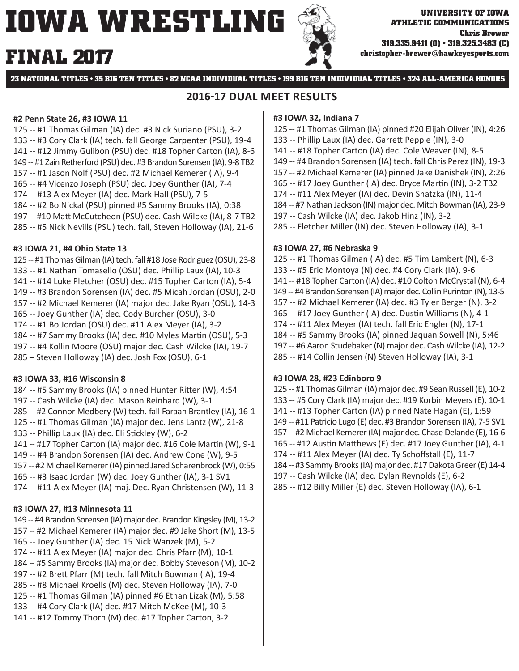## **IOWA WRESTLING christopher-brewer@hawkeyesports.com FINAL 2017**

**ATHLETIC COMMUNICATIONS Chris Brewer 319.335.9411 (O) • 319.325.3483 (C)**

**23 NATIONAL TITLES • 35 BIG TEN TITLES • 82 NCAA INDIVIDUAL TITLES • 199 BIG TEN INDIVIDUAL TITLES • 324 ALL-AMERICA HONORS**

#### **2016ͳ17 DUAL MEET RESULTS**

#### **#2 Penn State 26, #3 IOWA 11**

125 -- #1 Thomas Gilman (IA) dec. #3 Nick Suriano (PSU), 3-2 133 -- #3 Cory Clark (IA) tech. fall George Carpenter (PSU), 19-4 141 -- #12 Jimmy Gulibon (PSU) dec. #18 Topher Carton (IA), 8-6 149 -- #1 Zain Retherford (PSU) dec. #3 Brandon Sorensen (IA), 9-8 TB2 157 -- #1 Jason Nolf (PSU) dec. #2 Michael Kemerer (IA), 9-4 165 -- #4 Vicenzo Joseph (PSU) dec. Joey Gunther (IA), 7-4 174 -- #13 Alex Meyer (IA) dec. Mark Hall (PSU), 7-5 184 -- #2 Bo Nickal (PSU) pinned #5 Sammy Brooks (IA), 0:38 197 -- #10 MaƩ McCutcheon (PSU) dec. Cash Wilcke (IA), 8-7 TB2 285 -- #5 Nick Nevills (PSU) tech. fall, Steven Holloway (IA), 21-6

#### **#3 IOWA 21, #4 Ohio State 13**

125 -- #1 Thomas Gilman (IA) tech. fall #18 Jose Rodriguez (OSU), 23-8 133 -- #1 Nathan Tomasello (OSU) dec. Phillip Laux (IA), 10-3 141 -- #14 Luke Pletcher (OSU) dec. #15 Topher Carton (IA), 5-4 149 -- #3 Brandon Sorensen (IA) dec. #5 Micah Jordan (OSU), 2-0 157 -- #2 Michael Kemerer (IA) major dec. Jake Ryan (OSU), 14-3 165 -- Joey Gunther (IA) dec. Cody Burcher (OSU), 3-0 174 -- #1 Bo Jordan (OSU) dec. #11 Alex Meyer (IA), 3-2 184 -- #7 Sammy Brooks (IA) dec. #10 Myles Martin (OSU), 5-3 197 -- #4 Kollin Moore (OSU) major dec. Cash Wilcke (IA), 19-7 285 – Steven Holloway (IA) dec. Josh Fox (OSU), 6-1

#### **#3 IOWA 33, #16 Wisconsin 8**

184 -- #5 Sammy Brooks (IA) pinned Hunter Ritter (W), 4:54 197 -- Cash Wilcke (IA) dec. Mason Reinhard (W), 3-1 285 -- #2 Connor Medbery (W) tech. fall Faraan Brantley (IA), 16-1 125 -- #1 Thomas Gilman (IA) major dec. Jens Lantz (W), 21-8 133 -- Phillip Laux (IA) dec. Eli Stickley (W), 6-2 141 -- #17 Topher Carton (IA) major dec. #16 Cole Martin (W), 9-1 149 -- #4 Brandon Sorensen (IA) dec. Andrew Cone (W), 9-5 157 -- #2 Michael Kemerer (IA) pinned Jared Scharenbrock (W), 0:55 165 -- #3 Isaac Jordan (W) dec. Joey Gunther (IA), 3-1 SV1 174 -- #11 Alex Meyer (IA) maj. Dec. Ryan Christensen (W), 11-3

#### **#3 IOWA 27, #13 Minnesota 11**

149 -- #4 Brandon Sorensen (IA) major dec. Brandon Kingsley (M), 13-2 157 -- #2 Michael Kemerer (IA) major dec. #9 Jake Short (M), 13-5

- 165 -- Joey Gunther (IA) dec. 15 Nick Wanzek (M), 5-2
- 174 -- #11 Alex Meyer (IA) major dec. Chris Pfarr (M), 10-1
- 184 -- #5 Sammy Brooks (IA) major dec. Bobby Steveson (M), 10-2
- 197 -- #2 BreƩ Pfarr (M) tech. fall Mitch Bowman (IA), 19-4
- 285 -- #8 Michael Kroells (M) dec. Steven Holloway (IA), 7-0
- 125 -- #1 Thomas Gilman (IA) pinned #6 Ethan Lizak (M), 5:58
- 133 -- #4 Cory Clark (IA) dec. #17 Mitch McKee (M), 10-3
- 141 -- #12 Tommy Thorn (M) dec. #17 Topher Carton, 3-2

#### **#3 IOWA 32, Indiana 7**

125 -- #1 Thomas Gilman (IA) pinned #20 Elijah Oliver (IN), 4:26

- 133 -- Phillip Laux (IA) dec. Garrett Pepple (IN), 3-0
- 141 -- #18 Topher Carton (IA) dec. Cole Weaver (IN), 8-5
- 149 -- #4 Brandon Sorensen (IA) tech. fall Chris Perez (IN), 19-3
- 157 -- #2 Michael Kemerer (IA) pinned Jake Danishek (IN), 2:26
- 165 -- #17 Joey Gunther (IA) dec. Bryce Martin (IN), 3-2 TB2
- 174 -- #11 Alex Meyer (IA) dec. Devin Shatzka (IN), 11-4
- 184 -- #7 Nathan Jackson (IN) major dec. Mitch Bowman (IA), 23-9
- 197 -- Cash Wilcke (IA) dec. Jakob Hinz (IN), 3-2
- 285 -- Fletcher Miller (IN) dec. Steven Holloway (IA), 3-1

#### **#3 IOWA 27, #6 Nebraska 9**

125 -- #1 Thomas Gilman (IA) dec. #5 Tim Lambert (N), 6-3 133 -- #5 Eric Montoya (N) dec. #4 Cory Clark (IA), 9-6 141 -- #18 Topher Carton (IA) dec. #10 Colton McCrystal (N), 6-4 149 -- #4 Brandon Sorensen (IA) major dec. Collin Purinton (N), 13-5 157 -- #2 Michael Kemerer (IA) dec. #3 Tyler Berger (N), 3-2 165 -- #17 Joey Gunther (IA) dec. Dustin Williams (N), 4-1 174 -- #11 Alex Meyer (IA) tech. fall Eric Engler (N), 17-1 184 -- #5 Sammy Brooks (IA) pinned Jaquan Sowell (N), 5:46 197 -- #6 Aaron Studebaker (N) major dec. Cash Wilcke (IA), 12-2 285 -- #14 Collin Jensen (N) Steven Holloway (IA), 3-1

#### **#3 IOWA 28, #23 Edinboro 9**

125 -- #1 Thomas Gilman (IA) major dec. #9 Sean Russell (E), 10-2 133 -- #5 Cory Clark (IA) major dec. #19 Korbin Meyers (E), 10-1 141 -- #13 Topher Carton (IA) pinned Nate Hagan (E), 1:59 149 -- #11 Patricio Lugo (E) dec. #3 Brandon Sorensen (IA), 7-5 SV1 157 -- #2 Michael Kemerer (IA) major dec. Chase Delande (E), 16-6 165 -- #12 Austin Matthews (E) dec. #17 Joey Gunther (IA), 4-1 174 -- #11 Alex Meyer (IA) dec. Ty Schoffstall (E), 11-7 184 -- #3 Sammy Brooks (IA) major dec. #17 Dakota Greer (E) 14-4 197 -- Cash Wilcke (IA) dec. Dylan Reynolds (E), 6-2

285 -- #12 Billy Miller (E) dec. Steven Holloway (IA), 6-1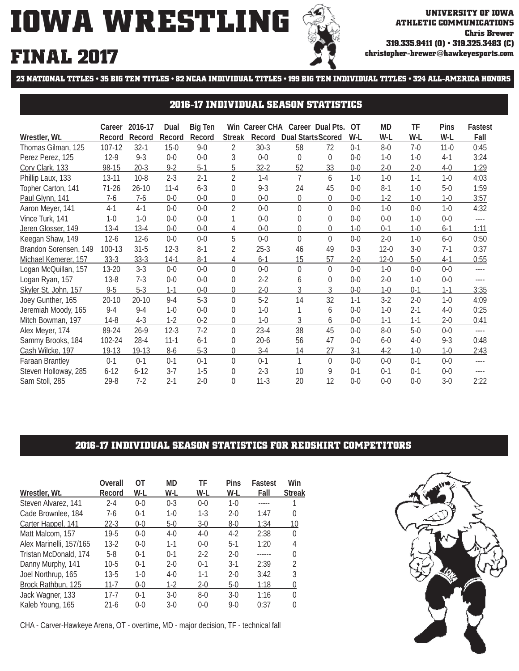### **IOWA WRESTLING FINAL 2017**



**23 NATIONAL TITLES • 35 BIG TEN TITLES • 82 NCAA INDIVIDUAL TITLES • 199 BIG TEN INDIVIDUAL TITLES • 324 ALL-AMERICA HONORS**

#### **2016-17 INDIVIDUAL SEASON STATISTICS**

|                        | Career    | 2016-17   | Dual     | Big Ten |                |          | Win Career CHA Career Dual Pts. |          | ОT      | MD       | ΤF      | Pins     | Fastest   |
|------------------------|-----------|-----------|----------|---------|----------------|----------|---------------------------------|----------|---------|----------|---------|----------|-----------|
| Wrestler, Wt.          | Record    | Record    | Record   | Record  | <b>Streak</b>  | Record   | <b>Dual Starts Scored</b>       |          | W-L     | W-L      | W-L     | W-L      | Fall      |
| Thomas Gilman, 125     | 107-12    | $32 - 1$  | $15 - 0$ | $9 - 0$ | 2              | $30-3$   | 58                              | 72       | $0-1$   | $8-0$    | $7-0$   | $11 - 0$ | 0:45      |
| Perez Perez, 125       | $12-9$    | $9 - 3$   | $0 - 0$  | $0-0$   | 3              | $0-0$    | $\theta$                        | $\Omega$ | $0 - 0$ | $1 - 0$  | $1 - 0$ | $4 - 1$  | 3:24      |
| Cory Clark, 133        | 98-15     | $20-3$    | $9 - 2$  | $5-1$   | 5              | $32 - 2$ | 52                              | 33       | $0 - 0$ | $2 - 0$  | $2 - 0$ | $4-0$    | 1:29      |
| Phillip Laux, 133      | $13 - 11$ | $10 - 8$  | $2 - 3$  | $2 - 1$ | $\mathfrak{D}$ | $1 - 4$  | $\overline{7}$                  | 6        | $1 - 0$ | $1 - 0$  | $1 - 1$ | $1 - 0$  | 4:03      |
| Topher Carton, 141     | $71-26$   | $26 - 10$ | $11 - 4$ | $6 - 3$ | $\Omega$       | $9 - 3$  | 24                              | 45       | $0 - 0$ | $8-1$    | $1 - 0$ | $5-0$    | 1:59      |
| Paul Glynn, 141        | $7-6$     | $7 - 6$   | $0 - 0$  | $0 - 0$ | 0              | $0 - 0$  | 0                               | 0        | $0 - 0$ | $1 - 2$  | $1 - 0$ | $1 - 0$  | 3:57      |
| Aaron Meyer, 141       | $4-1$     | $4-1$     | $0-0$    | $0 - 0$ | $\overline{2}$ | $0-0$    | $\Omega$                        | $\Omega$ | $0 - 0$ | $1 - 0$  | $0 - 0$ | $1 - 0$  | 4:32      |
| Vince Turk, 141        | $1 - 0$   | $1 - 0$   | $0 - 0$  | $0 - 0$ |                | $0-0$    | $\theta$                        | 0        | $0 - 0$ | $0 - 0$  | $1 - 0$ | $0-0$    | ----      |
| Jeren Glosser, 149     | $13 - 4$  | $13 - 4$  | $0 - 0$  | $0-0$   |                | $0 - 0$  | 0                               | 0        | $1 - 0$ | $0 - 1$  | $1 - 0$ | $6 - 1$  | 1:11      |
| Keegan Shaw, 149       | $12 - 6$  | $12 - 6$  | $0 - 0$  | $0 - 0$ | 5              | $0-0$    | $\theta$                        | $\Omega$ | $0 - 0$ | $2 - 0$  | $1 - 0$ | $6 - 0$  | 0:50      |
| Brandon Sorensen, 149  | 100-13    | $31 - 5$  | $12-3$   | $8-1$   | 2              | $25 - 3$ | 46                              | 49       | $0 - 3$ | $12 - 0$ | $3-0$   | $7-1$    | 0:37      |
| Michael Kemerer, 157   | $33-3$    | $33-3$    | $14-1$   | $8-1$   | 4              | $6-1$    | 15                              | 57       | $2 - 0$ | $12 - 0$ | $5-0$   | $4 - 1$  | 0:55      |
| Logan McQuillan, 157   | 13-20     | $3-3$     | $0 - 0$  | $0 - 0$ | $\Omega$       | $0 - 0$  | $\mathbf 0$                     | $\Omega$ | $0 - 0$ | $1 - 0$  | $0 - 0$ | $0 - 0$  | ----      |
| Logan Ryan, 157        | $13 - 8$  | $7-3$     | $0 - 0$  | $0-0$   | $\Omega$       | $2 - 2$  | 6                               | 0        | $0 - 0$ | $2 - 0$  | $1 - 0$ | $0-0$    | $- - - -$ |
| Skyler St. John, 157   | $9 - 5$   | $5-3$     | $1 - 1$  | $0-0$   |                | $2 - 0$  | 3                               | 3        | $0 - 0$ | $1 - 0$  | $0 - 1$ | $1 - 1$  | 3:35      |
| Joey Gunther, 165      | $20 - 10$ | $20 - 10$ | $9 - 4$  | $5 - 3$ | $\Omega$       | $5-2$    | 14                              | 32       | $1 - 1$ | $3-2$    | $2 - 0$ | $1 - 0$  | 4:09      |
| Jeremiah Moody, 165    | $9 - 4$   | $9 - 4$   | $1 - 0$  | $0 - 0$ | $\Omega$       | $1 - 0$  |                                 | 6        | $0 - 0$ | $1 - 0$  | $2 - 1$ | $4 - 0$  | 0:25      |
| Mitch Bowman, 197      | $14 - 8$  | $4 - 3$   | $1 - 2$  | $0 - 2$ | 0              | $1-0$    | 3                               | 6        | $0 - 0$ | $1 - 1$  | $1 - 1$ | $2 - 0$  | 0:41      |
| Alex Meyer, 174        | 89-24     | $26-9$    | $12-3$   | $7-2$   | $\Omega$       | $23 - 4$ | 38                              | 45       | $0 - 0$ | $8-0$    | $5-0$   | $0 - 0$  | ----      |
| Sammy Brooks, 184      | 102-24    | $28 - 4$  | $11 - 1$ | $6-1$   | $\Omega$       | $20 - 6$ | 56                              | 47       | $0 - 0$ | $6 - 0$  | $4-0$   | $9 - 3$  | 0:48      |
| Cash Wilcke, 197       | 19-13     | 19-13     | $8-6$    | $5 - 3$ | 0              | $3-4$    | 14                              | 27       | $3-1$   | $4 - 2$  | $1 - 0$ | $1 - 0$  | 2:43      |
| <b>Faraan Brantley</b> | $0 - 1$   | $0-1$     | $0 - 1$  | $0-1$   | $\Omega$       | $0 - 1$  | $\mathbf{1}$                    | $\Omega$ | $0 - 0$ | $0-0$    | $0 - 1$ | $0 - 0$  | ----      |
| Steven Holloway, 285   | $6 - 12$  | $6 - 12$  | $3 - 7$  | $1 - 5$ | $\Omega$       | $2 - 3$  | 10                              | 9        | $0-1$   | $0-1$    | $0 - 1$ | $0 - 0$  |           |
| Sam Stoll, 285         | 29-8      | $7-2$     | $2 - 1$  | $2 - 0$ | $\Omega$       | $11-3$   | 20                              | 12       | $0 - 0$ | $0 - 0$  | $0 - 0$ | $3-0$    | 2:22      |

#### **2016-17 INDIVIDUAL SEASON STATISTICS FOR REDSHIRT COMPETITORS**

|                         | Overall  | ОT      | MD      | TF      | Pins    | Fastest | Win           |
|-------------------------|----------|---------|---------|---------|---------|---------|---------------|
| Wrestler, Wt.           | Record   | W-L     | W-L     | W-L     | W-L     | Fall    | <b>Streak</b> |
| Steven Alvarez, 141     | $2 - 4$  | $0 - 0$ | $0 - 3$ | $0 - 0$ | $1 - 0$ | -----   |               |
| Cade Brownlee, 184      | 7-6      | $0-1$   | $1 - 0$ | $1-3$   | $2-0$   | 1:47    | 0             |
| Carter Happel, 141      | $22 - 3$ | $0-0$   | $5-0$   | $3-0$   | $8-0$   | 1:34    | 10            |
| Matt Malcom, 157        | $19 - 5$ | $0 - 0$ | $4-0$   | $4-0$   | $4-2$   | 2:38    | $\theta$      |
| Alex Marinelli, 157/165 | $13-2$   | $0 - 0$ | $1 - 1$ | $0 - 0$ | $5-1$   | 1:20    | 4             |
| Tristan McDonald, 174   | $5-8$    | $0-1$   | $0 - 1$ | $2 - 2$ | $2-0$   |         | 0             |
| Danny Murphy, 141       | $10-5$   | $0-1$   | $2-0$   | $0-1$   | $3-1$   | 2:39    | 2             |
| Joel Northrup, 165      | $13-5$   | $1-0$   | $4-0$   | $1 - 1$ | $2-0$   | 3:42    | 3             |
| Brock Rathbun, 125      | 11-7     | $0-0$   | $1-2$   | $2 - 0$ | $5-0$   | 1:18    | 0             |
| Jack Wagner, 133        | $17-7$   | $0 - 1$ | $3-0$   | $8-0$   | $3-0$   | 1:16    | $\Omega$      |
| Kaleb Young, 165        | $21 - 6$ | $0 - 0$ | $3-0$   | $0 - 0$ | $9 - 0$ | 0:37    | 0             |

CHA - Carver-Hawkeye Arena, OT - overtime, MD - major decision, TF - technical fall

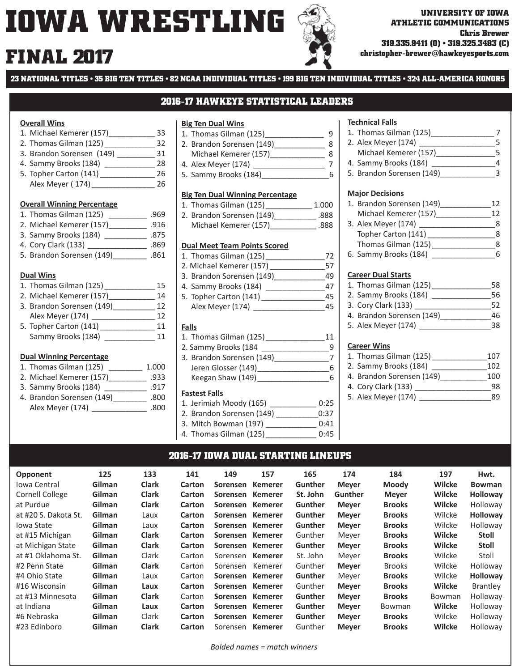### **christopher-brewer@hawkeyesports.com FINAL 2017**

**ATHLETIC COMMUNICATIONS Chris Brewer 319.335.9411 (O) • 319.325.3483 (C)**

**23 NATIONAL TITLES • 35 BIG TEN TITLES • 82 NCAA INDIVIDUAL TITLES • 199 BIG TEN INDIVIDUAL TITLES • 324 ALL-AMERICA HONORS**

#### **2016-17 HAWKEYE STATISTICAL LEADERS**

#### **Overall Wins**

- 1. Michael Kemerer (157) \_\_\_\_\_\_\_\_\_\_\_ 33
- 2. Thomas Gilman (125) \_\_\_\_\_\_\_\_\_\_\_\_ 32
- 3. Brandon Sorensen (149) \_\_\_\_\_\_\_\_\_ 31
- 4. Sammy Brooks (184) \_\_\_\_\_\_\_\_\_\_\_\_ 28
- 5. Topher Carton (141) \_\_\_\_\_\_\_\_\_\_\_\_\_ 26 Alex Meyer ( 174) \_\_\_\_\_\_\_\_\_\_\_\_\_\_\_ 26

#### **Overall Winning Percentage**

- 1. Thomas Gilman (125) \_\_\_\_\_\_\_\_\_ .969 2. Michael Kemerer (157) \_\_\_\_\_\_\_\_\_ .916 3. Sammy Brooks (184) \_\_\_\_\_\_\_\_\_\_ .875
- 4. Cory Clark (133) \_\_\_\_\_\_\_\_\_\_\_\_\_\_ .869
- 5. Brandon Sorensen (149) \_\_\_\_\_\_\_\_ .861

#### **Dual Wins**

- 1. Thomas Gilman (125) \_\_\_\_\_\_\_\_\_\_\_\_ 15 2. Michael Kemerer (157) \_\_\_\_\_\_\_\_\_\_\_ 14 3. Brandon Sorensen (149) \_\_\_\_\_\_\_\_\_\_ 12 Alex Meyer (174) \_\_\_\_\_\_\_\_\_\_\_\_\_\_\_\_\_ 12 5. Topher Carton  $(141)$  11
- Sammy Brooks (184) \_\_\_\_\_\_\_\_\_\_\_\_ 11

#### **Dual Winning Percentage**

- 1. Thomas Gilman (125) \_\_\_\_\_\_\_\_ 1.000
- 2. Michael Kemerer (157) \_\_\_\_\_\_\_\_\_ .933
- 3. Sammy Brooks (184) \_\_\_\_\_\_\_\_\_\_ .917 4. Brandon Sorensen (149) \_\_\_\_\_\_\_\_ .800 Alex Meyer (174) \_\_\_\_\_\_\_\_\_\_\_\_\_\_\_\_\_.800

- 2. Brandon Sorensen (149)\_\_\_\_\_\_\_\_\_\_\_\_ 8
- 
- 
- 

- 1. Thomas Gilman (125) \_\_\_\_\_\_\_\_\_\_\_ 1.000
- 2. Brandon Sorensen (149) \_\_\_\_\_\_\_\_\_\_ .888
- Michael Kemerer (157) \_\_\_\_\_\_\_\_\_\_\_ .888

#### **Dual Meet Team Points Scored**

- 1. Thomas Gilman (125) \_\_\_\_\_\_\_\_\_\_\_\_\_\_72
- 2. Michael Kemerer (157) \_\_\_\_\_\_\_\_\_\_\_\_\_57
- 3. Brandon Sorensen (149) \_\_\_\_\_\_\_\_\_\_\_\_49
- 4. Sammy Brooks (184) \_\_\_\_\_\_\_\_\_\_\_\_\_\_47 5. Topher Carton (141) \_\_\_\_\_\_\_\_\_\_\_\_\_\_\_45
- Alex Meyer (174) \_\_\_\_\_\_\_\_\_\_\_\_\_\_\_\_\_45

#### **Falls**

- 1. Thomas Gilman (125) \_\_\_\_\_\_\_\_\_\_\_\_\_\_11
- 2. Sammy Brooks (184 \_\_\_\_\_\_\_\_\_\_\_\_\_\_\_\_\_\_\_\_9 3. Brandon Sorensen (149) \_\_\_\_\_\_\_\_\_\_\_\_\_7
- Jeren Glosser (149) \_\_\_\_\_\_\_\_\_\_\_\_\_\_\_\_\_6 Keegan Shaw (149) \_\_\_\_\_\_\_\_\_\_\_\_\_\_\_\_\_6

#### **Fastest Falls**

- 1. Jerimiah Moody (165) \_\_\_\_\_\_\_\_\_\_\_\_\_\_ 0:25
- 2. Brandon Sorensen (149) \_\_\_\_\_\_\_\_\_\_0:37
- 3. Mitch Bowman (197) \_\_\_\_\_\_\_\_\_\_\_\_ 0:41
- 4. Thomas Gilman (125) \_\_\_\_\_\_\_\_\_\_\_\_ 0:45

#### **Technical Falls**

- 1. Thomas Gilman (125)\_\_\_\_\_\_\_\_\_\_\_\_\_\_\_ 7 2. Alex Meyer (174) \_\_\_\_\_\_\_\_\_\_\_\_\_\_\_\_\_\_5 Michael Kemerer (157)\_\_\_\_\_\_\_\_\_\_\_\_\_\_\_\_\_\_\_\_5 4. Sammy Brooks (184) \_\_\_\_\_\_\_\_\_\_\_\_\_\_\_4 5. Brandon Sorensen (149) 3 **Major Decisions** 1. Brandon Sorensen (149) \_\_\_\_\_\_\_\_\_\_\_\_12 Michael Kemerer (157)\_\_\_\_\_\_\_\_\_\_\_\_\_\_\_\_12
- 3. Alex Meyer (174) \_\_\_\_\_\_\_\_\_\_\_\_\_\_\_\_\_\_\_\_\_\_\_\_8 Topher Carton (141) \_\_\_\_\_\_\_\_\_\_\_\_\_\_\_\_8 Thomas Gilman (125) \_\_\_\_\_\_\_\_\_\_\_\_\_\_\_8 6. Sammy Brooks (184) \_\_\_\_\_\_\_\_\_\_\_\_\_\_\_6

#### **Career Dual Starts**

- 1. Thomas Gilman (125) \_\_\_\_\_\_\_\_\_\_\_\_\_\_58 2. Sammy Brooks (184) \_\_\_\_\_\_\_\_\_\_\_\_\_\_56 3. Cory Clark (133) \_\_\_\_\_\_\_\_\_\_\_\_\_\_\_\_\_\_52 4. Brandon Sorensen (149) \_\_\_\_\_\_\_\_\_\_\_\_46
- 5. Alex Meyer (174) \_\_\_\_\_\_\_\_\_\_\_\_\_\_\_\_\_38
- 

#### **Career Wins**

|  | 1. Thomas Gilman (125) |  |  |  | 107 |
|--|------------------------|--|--|--|-----|
|--|------------------------|--|--|--|-----|

- 2. Sammy Brooks (184) \_\_\_\_\_\_\_\_\_\_\_\_\_102
- 4. Brandon Sorensen (149)\_\_\_\_\_\_\_\_\_\_\_\_\_\_100
- 4. Cory Clark (133) \_\_\_\_\_\_\_\_\_\_\_\_\_\_\_\_\_\_98 5. Alex Meyer (174) \_\_\_\_\_\_\_\_\_\_\_\_\_\_\_\_\_89
- **2016-17 IOWA DUAL STARTING LINEUPS**

| <b>Opponent</b>        | 125    | 133          | 141           | 149             | 157            | 165            | 174            | 184           | 197           | Hwt.            |
|------------------------|--------|--------------|---------------|-----------------|----------------|----------------|----------------|---------------|---------------|-----------------|
| <b>Iowa Central</b>    | Gilman | <b>Clark</b> | <b>Carton</b> | <b>Sorensen</b> | <b>Kemerer</b> | <b>Gunther</b> | <b>Mever</b>   | <b>Moody</b>  | Wilcke        | <b>Bowman</b>   |
| <b>Cornell College</b> | Gilman | <b>Clark</b> | Carton        | Sorensen        | Kemerer        | St. John       | <b>Gunther</b> | <b>Mever</b>  | Wilcke        | <b>Holloway</b> |
| at Purdue              | Gilman | <b>Clark</b> | <b>Carton</b> | Sorensen        | Kemerer        | <b>Gunther</b> | <b>Meyer</b>   | <b>Brooks</b> | Wilcke        | Holloway        |
| at #20 S. Dakota St.   | Gilman | Laux         | <b>Carton</b> | Sorensen        | Kemerer        | <b>Gunther</b> | <b>Mever</b>   | <b>Brooks</b> | Wilcke        | <b>Holloway</b> |
| <b>Iowa State</b>      | Gilman | Laux         | Carton        | Sorensen        | Kemerer        | <b>Gunther</b> | <b>Meyer</b>   | <b>Brooks</b> | Wilcke        | Holloway        |
| at #15 Michigan        | Gilman | <b>Clark</b> | <b>Carton</b> | Sorensen        | Kemerer        | Gunther        | Meyer          | <b>Brooks</b> | Wilcke        | Stoll           |
| at Michigan State      | Gilman | <b>Clark</b> | Carton        | Sorensen        | Kemerer        | <b>Gunther</b> | <b>Meyer</b>   | <b>Brooks</b> | Wilcke        | Stoll           |
| at #1 Oklahoma St.     | Gilman | Clark        | Carton        | Sorensen        | <b>Kemerer</b> | St. John       | Meyer          | <b>Brooks</b> | Wilcke        | Stoll           |
| #2 Penn State          | Gilman | <b>Clark</b> | Carton        | Sorensen        | Kemerer        | Gunther        | <b>Mever</b>   | <b>Brooks</b> | Wilcke        | Holloway        |
| #4 Ohio State          | Gilman | Laux         | Carton        | Sorensen        | Kemerer        | <b>Gunther</b> | Meyer          | <b>Brooks</b> | Wilcke        | <b>Holloway</b> |
| #16 Wisconsin          | Gilman | Laux         | <b>Carton</b> | Sorensen        | Kemerer        | Gunther        | <b>Mever</b>   | <b>Brooks</b> | Wilcke        | <b>Brantley</b> |
| at #13 Minnesota       | Gilman | <b>Clark</b> | Carton        | Sorensen        | <b>Kemerer</b> | <b>Gunther</b> | <b>Meyer</b>   | <b>Brooks</b> | Bowman        | Holloway        |
| at Indiana             | Gilman | Laux         | <b>Carton</b> | Sorensen        | Kemerer        | <b>Gunther</b> | <b>Mever</b>   | Bowman        | Wilcke        | Holloway        |
| #6 Nebraska            | Gilman | Clark        | <b>Carton</b> | Sorensen        | Kemerer        | <b>Gunther</b> | <b>Mever</b>   | <b>Brooks</b> | Wilcke        | Holloway        |
| #23 Edinboro           | Gilman | <b>Clark</b> | Carton        | Sorensen        | <b>Kemerer</b> | Gunther        | <b>Mever</b>   | <b>Brooks</b> | <b>Wilcke</b> | Holloway        |

*Bolded names = match winners*

- **Big Ten Dual Wins** 1. Thomas Gilman (125)\_\_\_\_\_\_\_\_\_\_\_\_\_\_ 9
- Michael Kemerer (157)<br>28
- 4. Alex Meyer (174) \_\_\_\_\_\_\_\_\_\_\_\_\_\_\_\_\_ 7
- 5. Sammy Brooks (184)\_\_\_\_\_\_\_\_\_\_\_\_\_\_\_\_6

#### **Big Ten Dual Winning Percentage**